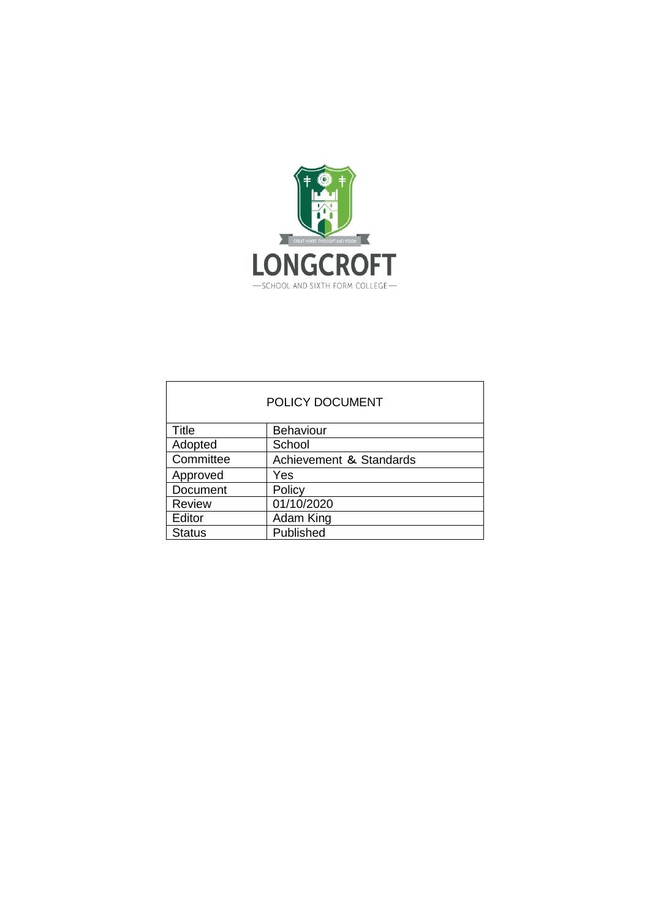

| POLICY DOCUMENT |                         |
|-----------------|-------------------------|
| Title           | <b>Behaviour</b>        |
| Adopted         | School                  |
| Committee       | Achievement & Standards |
| Approved        | Yes                     |
| Document        | Policy                  |
| <b>Review</b>   | 01/10/2020              |
| Editor          | Adam King               |
| <b>Status</b>   | Published               |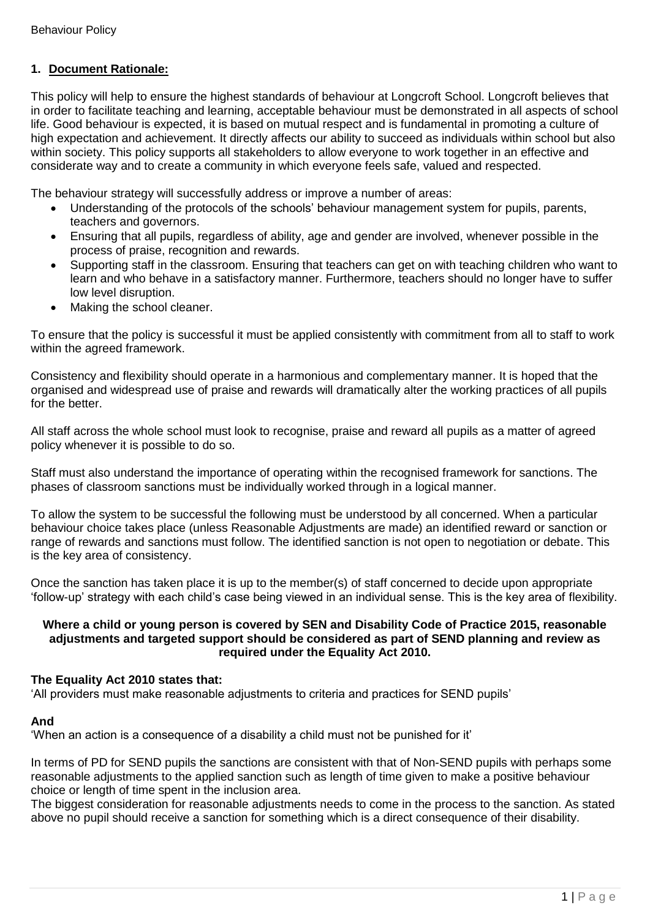# **1. Document Rationale:**

This policy will help to ensure the highest standards of behaviour at Longcroft School. Longcroft believes that in order to facilitate teaching and learning, acceptable behaviour must be demonstrated in all aspects of school life. Good behaviour is expected, it is based on mutual respect and is fundamental in promoting a culture of high expectation and achievement. It directly affects our ability to succeed as individuals within school but also within society. This policy supports all stakeholders to allow everyone to work together in an effective and considerate way and to create a community in which everyone feels safe, valued and respected.

The behaviour strategy will successfully address or improve a number of areas:

- Understanding of the protocols of the schools' behaviour management system for pupils, parents, teachers and governors.
- Ensuring that all pupils, regardless of ability, age and gender are involved, whenever possible in the process of praise, recognition and rewards.
- Supporting staff in the classroom. Ensuring that teachers can get on with teaching children who want to learn and who behave in a satisfactory manner. Furthermore, teachers should no longer have to suffer low level disruption.
- Making the school cleaner.

To ensure that the policy is successful it must be applied consistently with commitment from all to staff to work within the agreed framework.

Consistency and flexibility should operate in a harmonious and complementary manner. It is hoped that the organised and widespread use of praise and rewards will dramatically alter the working practices of all pupils for the better.

All staff across the whole school must look to recognise, praise and reward all pupils as a matter of agreed policy whenever it is possible to do so.

Staff must also understand the importance of operating within the recognised framework for sanctions. The phases of classroom sanctions must be individually worked through in a logical manner.

To allow the system to be successful the following must be understood by all concerned. When a particular behaviour choice takes place (unless Reasonable Adjustments are made) an identified reward or sanction or range of rewards and sanctions must follow. The identified sanction is not open to negotiation or debate. This is the key area of consistency.

Once the sanction has taken place it is up to the member(s) of staff concerned to decide upon appropriate 'follow-up' strategy with each child's case being viewed in an individual sense. This is the key area of flexibility.

### **Where a child or young person is covered by SEN and Disability Code of Practice 2015, reasonable adjustments and targeted support should be considered as part of SEND planning and review as required under the Equality Act 2010.**

### **The Equality Act 2010 states that:**

'All providers must make reasonable adjustments to criteria and practices for SEND pupils'

### **And**

'When an action is a consequence of a disability a child must not be punished for it'

In terms of PD for SEND pupils the sanctions are consistent with that of Non-SEND pupils with perhaps some reasonable adjustments to the applied sanction such as length of time given to make a positive behaviour choice or length of time spent in the inclusion area.

The biggest consideration for reasonable adjustments needs to come in the process to the sanction. As stated above no pupil should receive a sanction for something which is a direct consequence of their disability.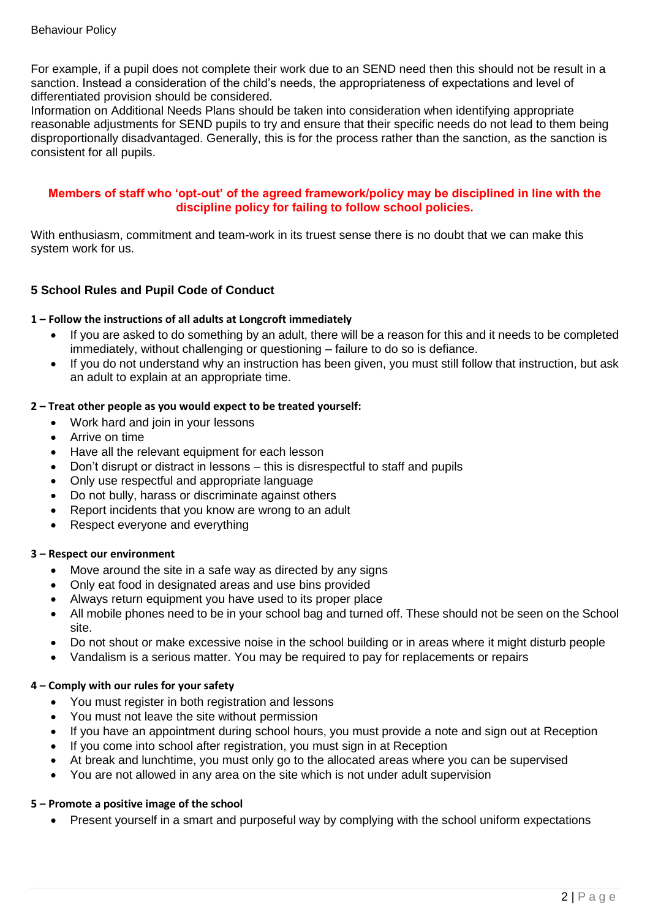For example, if a pupil does not complete their work due to an SEND need then this should not be result in a sanction. Instead a consideration of the child's needs, the appropriateness of expectations and level of differentiated provision should be considered.

Information on Additional Needs Plans should be taken into consideration when identifying appropriate reasonable adjustments for SEND pupils to try and ensure that their specific needs do not lead to them being disproportionally disadvantaged. Generally, this is for the process rather than the sanction, as the sanction is consistent for all pupils.

### **Members of staff who 'opt-out' of the agreed framework/policy may be disciplined in line with the discipline policy for failing to follow school policies.**

With enthusiasm, commitment and team-work in its truest sense there is no doubt that we can make this system work for us.

# **5 School Rules and Pupil Code of Conduct**

### **1 – Follow the instructions of all adults at Longcroft immediately**

- If you are asked to do something by an adult, there will be a reason for this and it needs to be completed immediately, without challenging or questioning – failure to do so is defiance.
- If you do not understand why an instruction has been given, you must still follow that instruction, but ask an adult to explain at an appropriate time.

### **2 – Treat other people as you would expect to be treated yourself:**

- Work hard and join in your lessons
- Arrive on time
- Have all the relevant equipment for each lesson
- Don't disrupt or distract in lessons this is disrespectful to staff and pupils
- Only use respectful and appropriate language
- Do not bully, harass or discriminate against others
- Report incidents that you know are wrong to an adult
- Respect everyone and everything

### **3 – Respect our environment**

- Move around the site in a safe way as directed by any signs
- Only eat food in designated areas and use bins provided
- Always return equipment you have used to its proper place
- All mobile phones need to be in your school bag and turned off. These should not be seen on the School site.
- Do not shout or make excessive noise in the school building or in areas where it might disturb people
- Vandalism is a serious matter. You may be required to pay for replacements or repairs

### **4 – Comply with our rules for your safety**

- You must register in both registration and lessons
- You must not leave the site without permission
- If you have an appointment during school hours, you must provide a note and sign out at Reception
- If you come into school after registration, you must sign in at Reception
- At break and lunchtime, you must only go to the allocated areas where you can be supervised
- You are not allowed in any area on the site which is not under adult supervision

### **5 – Promote a positive image of the school**

• Present yourself in a smart and purposeful way by complying with the school uniform expectations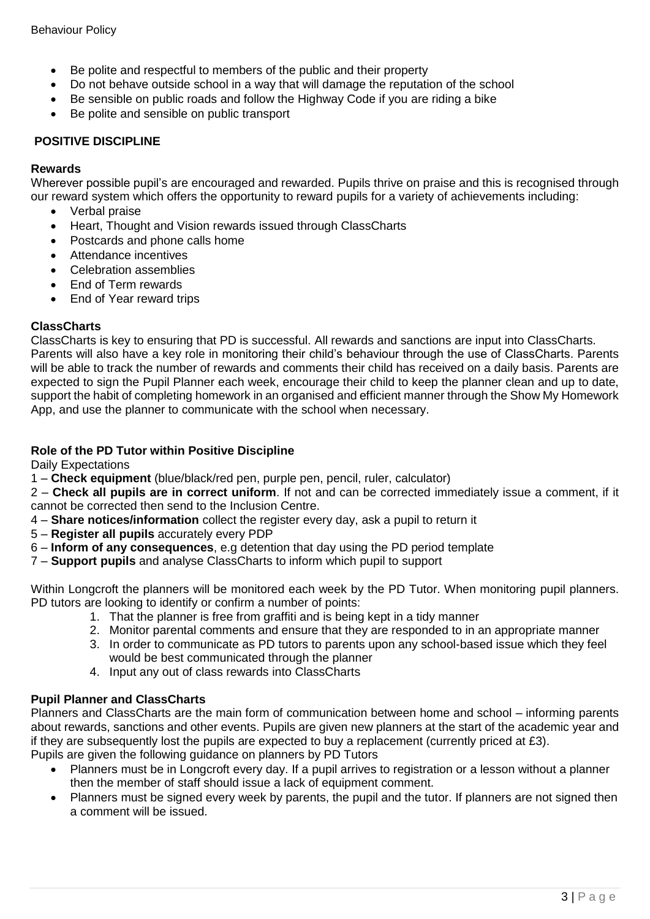- Be polite and respectful to members of the public and their property
- Do not behave outside school in a way that will damage the reputation of the school
- Be sensible on public roads and follow the Highway Code if you are riding a bike
- Be polite and sensible on public transport

## **POSITIVE DISCIPLINE**

### **Rewards**

Wherever possible pupil's are encouraged and rewarded. Pupils thrive on praise and this is recognised through our reward system which offers the opportunity to reward pupils for a variety of achievements including:

- Verbal praise
- Heart, Thought and Vision rewards issued through ClassCharts
- Postcards and phone calls home
- Attendance incentives
- Celebration assemblies
- End of Term rewards
- End of Year reward trips

## **ClassCharts**

ClassCharts is key to ensuring that PD is successful. All rewards and sanctions are input into ClassCharts. Parents will also have a key role in monitoring their child's behaviour through the use of ClassCharts. Parents will be able to track the number of rewards and comments their child has received on a daily basis. Parents are expected to sign the Pupil Planner each week, encourage their child to keep the planner clean and up to date, support the habit of completing homework in an organised and efficient manner through the Show My Homework App, and use the planner to communicate with the school when necessary.

## **Role of the PD Tutor within Positive Discipline**

Daily Expectations

1 – **Check equipment** (blue/black/red pen, purple pen, pencil, ruler, calculator)

2 – **Check all pupils are in correct uniform**. If not and can be corrected immediately issue a comment, if it cannot be corrected then send to the Inclusion Centre.

- 4 **Share notices/information** collect the register every day, ask a pupil to return it
- 5 **Register all pupils** accurately every PDP
- 6 **Inform of any consequences**, e.g detention that day using the PD period template
- 7 **Support pupils** and analyse ClassCharts to inform which pupil to support

Within Longcroft the planners will be monitored each week by the PD Tutor. When monitoring pupil planners. PD tutors are looking to identify or confirm a number of points:

- 1. That the planner is free from graffiti and is being kept in a tidy manner
- 2. Monitor parental comments and ensure that they are responded to in an appropriate manner
- 3. In order to communicate as PD tutors to parents upon any school-based issue which they feel would be best communicated through the planner
- 4. Input any out of class rewards into ClassCharts

# **Pupil Planner and ClassCharts**

Planners and ClassCharts are the main form of communication between home and school – informing parents about rewards, sanctions and other events. Pupils are given new planners at the start of the academic year and if they are subsequently lost the pupils are expected to buy a replacement (currently priced at £3).

Pupils are given the following guidance on planners by PD Tutors

- Planners must be in Longcroft every day. If a pupil arrives to registration or a lesson without a planner then the member of staff should issue a lack of equipment comment.
- Planners must be signed every week by parents, the pupil and the tutor. If planners are not signed then a comment will be issued.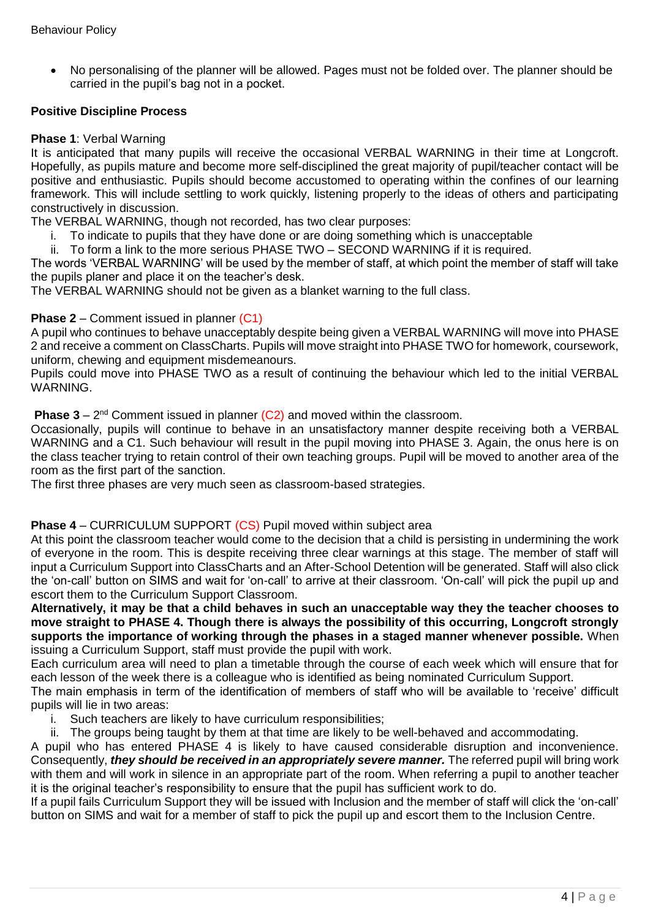• No personalising of the planner will be allowed. Pages must not be folded over. The planner should be carried in the pupil's bag not in a pocket.

### **Positive Discipline Process**

#### **Phase 1**: Verbal Warning

It is anticipated that many pupils will receive the occasional VERBAL WARNING in their time at Longcroft. Hopefully, as pupils mature and become more self-disciplined the great majority of pupil/teacher contact will be positive and enthusiastic. Pupils should become accustomed to operating within the confines of our learning framework. This will include settling to work quickly, listening properly to the ideas of others and participating constructively in discussion.

The VERBAL WARNING, though not recorded, has two clear purposes:

- i. To indicate to pupils that they have done or are doing something which is unacceptable
- ii. To form a link to the more serious PHASE TWO SECOND WARNING if it is required.

The words 'VERBAL WARNING' will be used by the member of staff, at which point the member of staff will take the pupils planer and place it on the teacher's desk.

The VERBAL WARNING should not be given as a blanket warning to the full class.

#### **Phase 2** – Comment issued in planner (C1)

A pupil who continues to behave unacceptably despite being given a VERBAL WARNING will move into PHASE 2 and receive a comment on ClassCharts. Pupils will move straight into PHASE TWO for homework, coursework, uniform, chewing and equipment misdemeanours.

Pupils could move into PHASE TWO as a result of continuing the behaviour which led to the initial VERBAL WARNING.

**Phase 3** –  $2^{nd}$  Comment issued in planner  $(C2)$  and moved within the classroom.

Occasionally, pupils will continue to behave in an unsatisfactory manner despite receiving both a VERBAL WARNING and a C1. Such behaviour will result in the pupil moving into PHASE 3. Again, the onus here is on the class teacher trying to retain control of their own teaching groups. Pupil will be moved to another area of the room as the first part of the sanction.

The first three phases are very much seen as classroom-based strategies.

#### **Phase 4** – CURRICULUM SUPPORT (CS) Pupil moved within subject area

At this point the classroom teacher would come to the decision that a child is persisting in undermining the work of everyone in the room. This is despite receiving three clear warnings at this stage. The member of staff will input a Curriculum Support into ClassCharts and an After-School Detention will be generated. Staff will also click the 'on-call' button on SIMS and wait for 'on-call' to arrive at their classroom. 'On-call' will pick the pupil up and escort them to the Curriculum Support Classroom.

**Alternatively, it may be that a child behaves in such an unacceptable way they the teacher chooses to move straight to PHASE 4. Though there is always the possibility of this occurring, Longcroft strongly supports the importance of working through the phases in a staged manner whenever possible.** When issuing a Curriculum Support, staff must provide the pupil with work.

Each curriculum area will need to plan a timetable through the course of each week which will ensure that for each lesson of the week there is a colleague who is identified as being nominated Curriculum Support.

The main emphasis in term of the identification of members of staff who will be available to 'receive' difficult pupils will lie in two areas:

- i. Such teachers are likely to have curriculum responsibilities;
- ii. The groups being taught by them at that time are likely to be well-behaved and accommodating.

A pupil who has entered PHASE 4 is likely to have caused considerable disruption and inconvenience. Consequently, *they should be received in an appropriately severe manner.* The referred pupil will bring work with them and will work in silence in an appropriate part of the room. When referring a pupil to another teacher it is the original teacher's responsibility to ensure that the pupil has sufficient work to do.

If a pupil fails Curriculum Support they will be issued with Inclusion and the member of staff will click the 'on-call' button on SIMS and wait for a member of staff to pick the pupil up and escort them to the Inclusion Centre.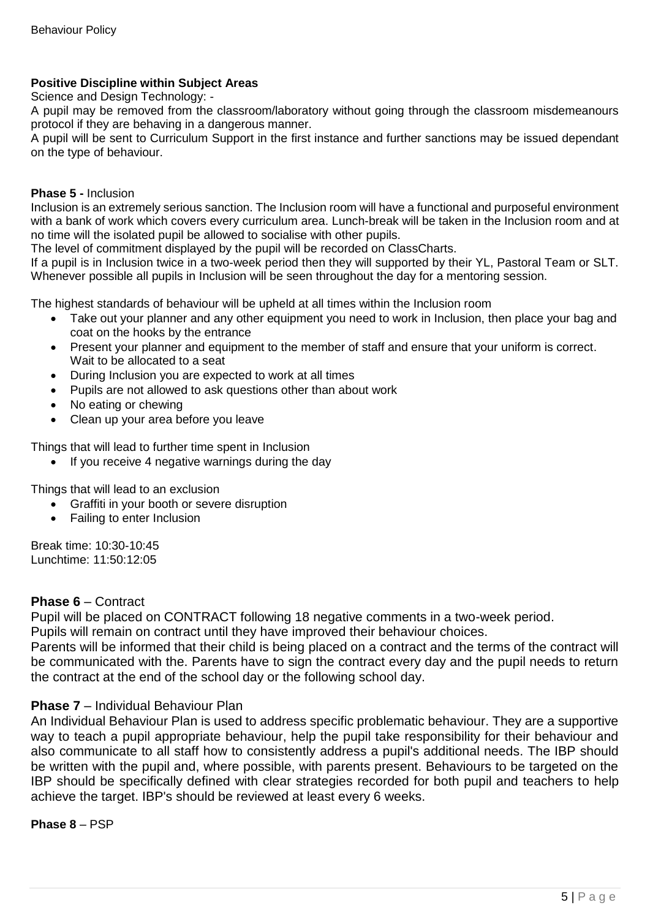# **Positive Discipline within Subject Areas**

Science and Design Technology: -

A pupil may be removed from the classroom/laboratory without going through the classroom misdemeanours protocol if they are behaving in a dangerous manner.

A pupil will be sent to Curriculum Support in the first instance and further sanctions may be issued dependant on the type of behaviour.

### **Phase 5 -** Inclusion

Inclusion is an extremely serious sanction. The Inclusion room will have a functional and purposeful environment with a bank of work which covers every curriculum area. Lunch-break will be taken in the Inclusion room and at no time will the isolated pupil be allowed to socialise with other pupils.

The level of commitment displayed by the pupil will be recorded on ClassCharts.

If a pupil is in Inclusion twice in a two-week period then they will supported by their YL, Pastoral Team or SLT. Whenever possible all pupils in Inclusion will be seen throughout the day for a mentoring session.

The highest standards of behaviour will be upheld at all times within the Inclusion room

- Take out your planner and any other equipment you need to work in Inclusion, then place your bag and coat on the hooks by the entrance
- Present your planner and equipment to the member of staff and ensure that your uniform is correct. Wait to be allocated to a seat
- During Inclusion you are expected to work at all times
- Pupils are not allowed to ask questions other than about work
- No eating or chewing
- Clean up your area before you leave

Things that will lead to further time spent in Inclusion

• If you receive 4 negative warnings during the day

Things that will lead to an exclusion

- Graffiti in your booth or severe disruption
- Failing to enter Inclusion

Break time: 10:30-10:45 Lunchtime: 11:50:12:05

### **Phase 6** – Contract

Pupil will be placed on CONTRACT following 18 negative comments in a two-week period.

Pupils will remain on contract until they have improved their behaviour choices.

Parents will be informed that their child is being placed on a contract and the terms of the contract will be communicated with the. Parents have to sign the contract every day and the pupil needs to return the contract at the end of the school day or the following school day.

### **Phase 7** – Individual Behaviour Plan

An Individual Behaviour Plan is used to address specific problematic behaviour. They are a supportive way to teach a pupil appropriate behaviour, help the pupil take responsibility for their behaviour and also communicate to all staff how to consistently address a pupil's additional needs. The IBP should be written with the pupil and, where possible, with parents present. Behaviours to be targeted on the IBP should be specifically defined with clear strategies recorded for both pupil and teachers to help achieve the target. IBP's should be reviewed at least every 6 weeks.

### **Phase 8** – PSP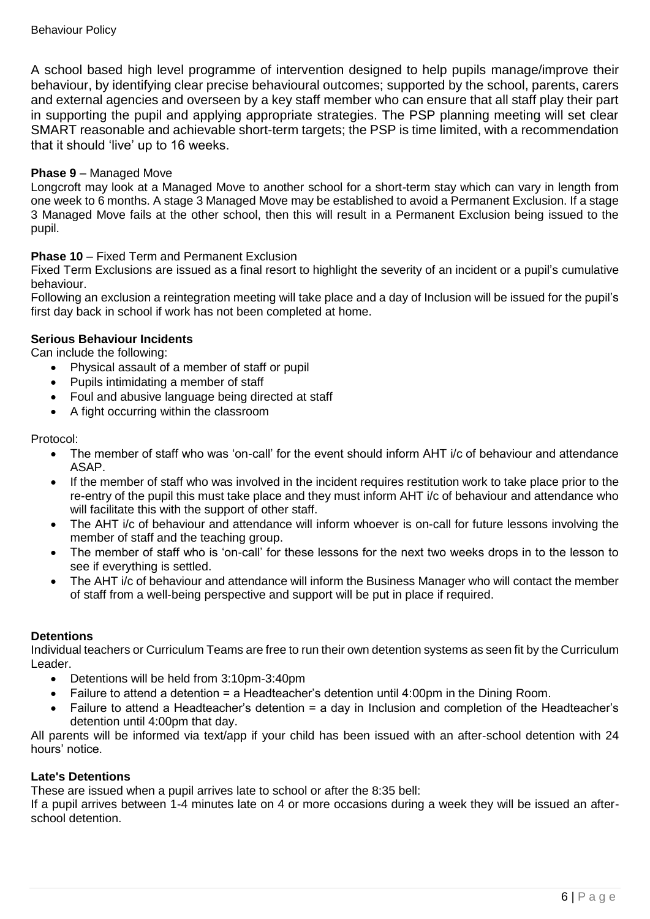A school based high level programme of intervention designed to help pupils manage/improve their behaviour, by identifying clear precise behavioural outcomes; supported by the school, parents, carers and external agencies and overseen by a key staff member who can ensure that all staff play their part in supporting the pupil and applying appropriate strategies. The PSP planning meeting will set clear SMART reasonable and achievable short-term targets; the PSP is time limited, with a recommendation that it should 'live' up to 16 weeks.

## **Phase 9** – Managed Move

Longcroft may look at a Managed Move to another school for a short-term stay which can vary in length from one week to 6 months. A stage 3 Managed Move may be established to avoid a Permanent Exclusion. If a stage 3 Managed Move fails at the other school, then this will result in a Permanent Exclusion being issued to the pupil.

### **Phase 10** – Fixed Term and Permanent Exclusion

Fixed Term Exclusions are issued as a final resort to highlight the severity of an incident or a pupil's cumulative behaviour.

Following an exclusion a reintegration meeting will take place and a day of Inclusion will be issued for the pupil's first day back in school if work has not been completed at home.

### **Serious Behaviour Incidents**

Can include the following:

- Physical assault of a member of staff or pupil
- Pupils intimidating a member of staff
- Foul and abusive language being directed at staff
- A fight occurring within the classroom

Protocol:

- The member of staff who was 'on-call' for the event should inform AHT i/c of behaviour and attendance ASAP.
- If the member of staff who was involved in the incident requires restitution work to take place prior to the re-entry of the pupil this must take place and they must inform AHT i/c of behaviour and attendance who will facilitate this with the support of other staff.
- The AHT i/c of behaviour and attendance will inform whoever is on-call for future lessons involving the member of staff and the teaching group.
- The member of staff who is 'on-call' for these lessons for the next two weeks drops in to the lesson to see if everything is settled.
- The AHT i/c of behaviour and attendance will inform the Business Manager who will contact the member of staff from a well-being perspective and support will be put in place if required.

### **Detentions**

Individual teachers or Curriculum Teams are free to run their own detention systems as seen fit by the Curriculum Leader.

- Detentions will be held from 3:10pm-3:40pm
- Failure to attend a detention = a Headteacher's detention until 4:00pm in the Dining Room.
- Failure to attend a Headteacher's detention = a day in Inclusion and completion of the Headteacher's detention until 4:00pm that day.

All parents will be informed via text/app if your child has been issued with an after-school detention with 24 hours' notice.

### **Late's Detentions**

These are issued when a pupil arrives late to school or after the 8:35 bell:

If a pupil arrives between 1-4 minutes late on 4 or more occasions during a week they will be issued an afterschool detention.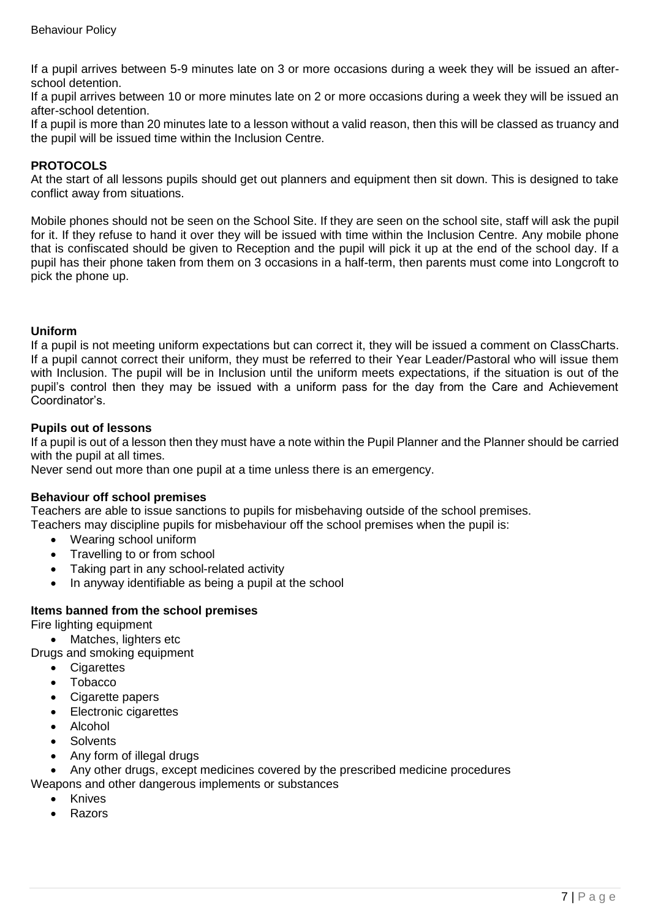If a pupil arrives between 5-9 minutes late on 3 or more occasions during a week they will be issued an afterschool detention.

If a pupil arrives between 10 or more minutes late on 2 or more occasions during a week they will be issued an after-school detention.

If a pupil is more than 20 minutes late to a lesson without a valid reason, then this will be classed as truancy and the pupil will be issued time within the Inclusion Centre.

### **PROTOCOLS**

At the start of all lessons pupils should get out planners and equipment then sit down. This is designed to take conflict away from situations.

Mobile phones should not be seen on the School Site. If they are seen on the school site, staff will ask the pupil for it. If they refuse to hand it over they will be issued with time within the Inclusion Centre. Any mobile phone that is confiscated should be given to Reception and the pupil will pick it up at the end of the school day. If a pupil has their phone taken from them on 3 occasions in a half-term, then parents must come into Longcroft to pick the phone up.

### **Uniform**

If a pupil is not meeting uniform expectations but can correct it, they will be issued a comment on ClassCharts. If a pupil cannot correct their uniform, they must be referred to their Year Leader/Pastoral who will issue them with Inclusion. The pupil will be in Inclusion until the uniform meets expectations, if the situation is out of the pupil's control then they may be issued with a uniform pass for the day from the Care and Achievement Coordinator's.

#### **Pupils out of lessons**

If a pupil is out of a lesson then they must have a note within the Pupil Planner and the Planner should be carried with the pupil at all times.

Never send out more than one pupil at a time unless there is an emergency.

### **Behaviour off school premises**

Teachers are able to issue sanctions to pupils for misbehaving outside of the school premises.

Teachers may discipline pupils for misbehaviour off the school premises when the pupil is:

- Wearing school uniform
- Travelling to or from school
- Taking part in any school-related activity
- In anyway identifiable as being a pupil at the school

### **Items banned from the school premises**

Fire lighting equipment

• Matches, lighters etc

Drugs and smoking equipment

- Cigarettes
- Tobacco
- Cigarette papers
- Electronic cigarettes
- Alcohol
- **Solvents**
- Any form of illegal drugs

• Any other drugs, except medicines covered by the prescribed medicine procedures

- Weapons and other dangerous implements or substances
	- Knives
	- Razors